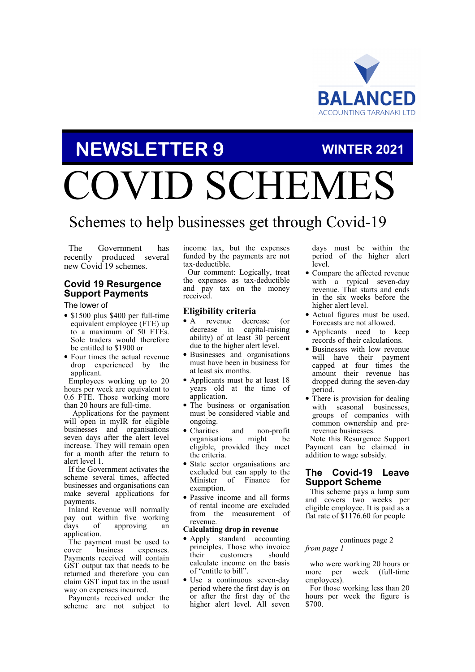

# **WINTER 2021**

**OVID SCHEMES** 

# Schemes to help businesses get through Covid-19

The Government has recently produced several new Covid 19 schemes.

**NEWSLETTER 9** 

### **Covid 19 Resurgence Support Payments**

The lower of

- \$1500 plus \$400 per full-time equivalent employee (FTE) up to a maximum of 50 FTEs. Sole traders would therefore be entitled to \$1900 or
- Four times the actual revenue drop experienced by the applicant.

Employees working up to 20 hours per week are equivalent to 0.6 FTE. Those working more than 20 hours are full-time.

 Applications for the payment will open in myIR for eligible businesses and organisations seven days after the alert level increase. They will remain open for a month after the return to alert level 1.

If the Government activates the scheme several times, affected businesses and organisations can make several applications for payments.

Inland Revenue will normally pay out within five working days of approving an application.

The payment must be used to cover business expenses. Payments received will contain GST output tax that needs to be returned and therefore you can claim GST input tax in the usual way on expenses incurred.

Payments received under the scheme are not subject to income tax, but the expenses funded by the payments are not tax-deductible.

Our comment: Logically, treat the expenses as tax-deductible and pay tax on the money received.

### **Eligibility criteria**

- A revenue decrease (or decrease in capital-raising ability) of at least 30 percent due to the higher alert level.
- Businesses and organisations must have been in business for at least six months.
- Applicants must be at least 18 years old at the time of application.
- The business or organisation must be considered viable and ongoing.
- Charities and non-profit organisations might be eligible, provided they meet the criteria.
- State sector organisations are excluded but can apply to the Minister of Finance for exemption.
- Passive income and all forms of rental income are excluded from the measurement of revenue.

#### **Calculating drop in revenue**

- Apply standard accounting principles. Those who invoice<br>their customers should their customers calculate income on the basis of "entitle to bill".
- Use a continuous seven-day period where the first day is on or after the first day of the higher alert level. All seven

days must be within the period of the higher alert level.

- Compare the affected revenue with a typical seven-day revenue. That starts and ends in the six weeks before the higher alert level.
- Actual figures must be used. Forecasts are not allowed.
- Applicants need to keep records of their calculations.
- Businesses with low revenue will have their payment capped at four times the amount their revenue has dropped during the seven-day period.
- There is provision for dealing with seasonal businesses, groups of companies with common ownership and prerevenue businesses.

Note this Resurgence Support Payment can be claimed in addition to wage subsidy.

### **The Covid-19 Leave Support Scheme**

This scheme pays a lump sum and covers two weeks per eligible employee. It is paid as a flat rate of \$1176.60 for people

### continues page 2 *from page 1*

who were working 20 hours or more per week (full-time employees).

For those working less than 20 hours per week the figure is \$700.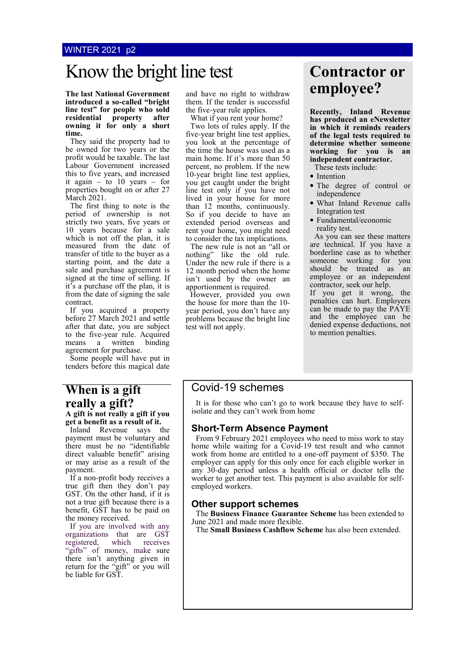# Know the bright line test **Contractor or**

**The last National Government introduced a so-called "bright line test" for people who sold residential property after owning it for only a short time.** 

They said the property had to be owned for two years or the profit would be taxable. The last Labour Government increased this to five years, and increased it again  $-$  to 10 years  $-$  for properties bought on or after 27 March 2021.

The first thing to note is the period of ownership is not strictly two years, five years or 10 years because for a sale which is not off the plan, it is measured from the date of transfer of title to the buyer as a starting point, and the date a sale and purchase agreement is signed at the time of selling. If it's a purchase off the plan, it is from the date of signing the sale contract.

If you acquired a property before 27 March 2021 and settle after that date, you are subject to the five-year rule. Acquired<br>means a written binding means a written agreement for purchase.

Some people will have put in tenders before this magical date

### **When is a gift really a gift? A gift is not really a gift if you**

**get a benefit as a result of it.** 

Inland Revenue says the payment must be voluntary and there must be no "identifiable direct valuable benefit" arising or may arise as a result of the payment.

If a non-profit body receives a true gift then they don't pay GST. On the other hand, if it is not a true gift because there is a benefit, GST has to be paid on the money received.

If you are involved with any organizations that are GST registered, which receives "gifts" of money, make sure there isn't anything given in return for the "gift" or you will be liable for GST.

and have no right to withdraw them. If the tender is successful the five-year rule applies.

What if you rent your home?

Two lots of rules apply. If the five-year bright line test applies, you look at the percentage of the time the house was used as a main home. If it's more than 50 percent, no problem. If the new 10-year bright line test applies, you get caught under the bright line test only if you have not lived in your house for more than 12 months, continuously. So if you decide to have an extended period overseas and rent your home, you might need to consider the tax implications.

The new rule is not an "all or nothing" like the old rule. Under the new rule if there is a 12 month period when the home isn't used by the owner an apportionment is required.

However, provided you own the house for more than the 10 year period, you don't have any problems because the bright line test will not apply.

# **employee?**

**Recently, Inland Revenue has produced an eNewsletter in which it reminds readers of the legal tests required to determine whether someone working for you is an independent contractor.** 

These tests include:

- Intention
- The degree of control or independence
- What Inland Revenue calls Integration test
- Fundamental/economic reality test.

As you can see these matters are technical. If you have a borderline case as to whether someone working for you should be treated as an employee or an independent contractor, seek our help.

If you get it wrong, the penalties can hurt. Employers can be made to pay the PAYE and the employee can be denied expense deductions, not to mention penalties.

### Covid-19 schemes

It is for those who can't go to work because they have to selfisolate and they can't work from home

### **Short-Term Absence Payment**

From 9 February 2021 employees who need to miss work to stay home while waiting for a Covid-19 test result and who cannot work from home are entitled to a one-off payment of \$350. The employer can apply for this only once for each eligible worker in any 30-day period unless a health official or doctor tells the worker to get another test. This payment is also available for selfemployed workers.

### **Other support schemes**

The **Business Finance Guarantee Scheme** has been extended to June 2021 and made more flexible.

The **Small Business Cashflow Scheme** has also been extended.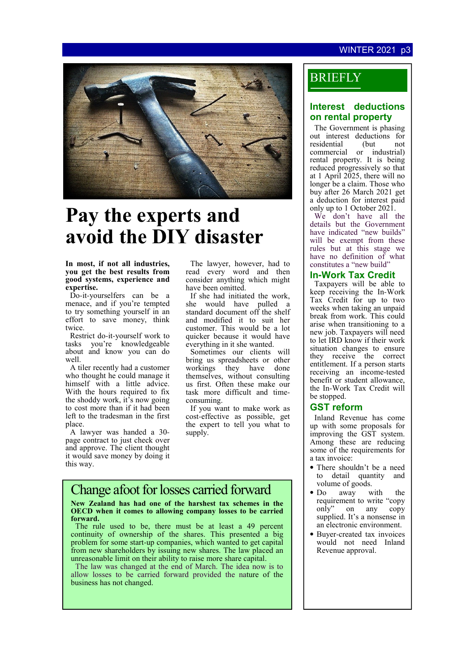### **WINTER 2021**



# **Pay the experts and avoid the DIY disaster**

### **In most, if not all industries, you get the best results from good systems, experience and expertise.**

Do-it-yourselfers can be a menace, and if you're tempted to try something yourself in an effort to save money, think twice.

Restrict do-it-yourself work to tasks you're knowledgeable about and know you can do well.

A tiler recently had a customer who thought he could manage it himself with a little advice. With the hours required to fix the shoddy work, it's now going to cost more than if it had been left to the tradesman in the first place.

A lawyer was handed a 30 page contract to just check over and approve. The client thought it would save money by doing it this way.

The lawyer, however, had to read every word and then consider anything which might have been omitted.

If she had initiated the work, she would have pulled a standard document off the shelf and modified it to suit her customer. This would be a lot quicker because it would have everything in it she wanted.

Sometimes our clients will bring us spreadsheets or other workings they have done themselves, without consulting us first. Often these make our task more difficult and timeconsuming.

If you want to make work as cost-effective as possible, get the expert to tell you what to supply.

### Change afoot for losses carried forward

**New Zealand has had one of the harshest tax schemes in the OECD when it comes to allowing company losses to be carried forward.**

The rule used to be, there must be at least a 49 percent continuity of ownership of the shares. This presented a big problem for some start-up companies, which wanted to get capital from new shareholders by issuing new shares. The law placed an unreasonable limit on their ability to raise more share capital.

The law was changed at the end of March. The idea now is to allow losses to be carried forward provided the nature of the business has not changed.

### BRIEFLY

### **Interest deductions on rental property**

The Government is phasing out interest deductions for residential<br>commercial or industrial) rental property. It is being reduced progressively so that at 1 April 2025, there will no longer be a claim. Those who buy after 26 March 2021 get a deduction for interest paid only up to 1 October 2021.

We don't have all the details but the Government have indicated "new builds" will be exempt from these rules but at this stage we have no definition of what constitutes a "new build"

### **In-Work Tax Credit**

Taxpayers will be able to keep receiving the In-Work Tax Credit for up to two weeks when taking an unpaid break from work. This could arise when transitioning to a new job. Taxpayers will need to let IRD know if their work situation changes to ensure they receive the correct entitlement. If a person starts receiving an income-tested benefit or student allowance, the In-Work Tax Credit will be stopped.

### **GST reform**

Inland Revenue has come up with some proposals for improving the GST system. Among these are reducing some of the requirements for a tax invoice:

- There shouldn't be a need to detail quantity and volume of goods.
- Do away with the requirement to write "copy only" on any copy supplied. It's a nonsense in an electronic environment.
- Buyer-created tax invoices would not need Inland Revenue approval.